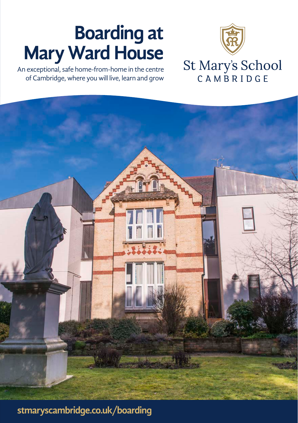### **Boarding at Mary Ward House**

An exceptional, safe home-from-home in the centre of Cambridge, where you will live, learn and grow



# St Mary's School<br>CAMBRIDGE



**stmaryscambridge.co.uk/boarding**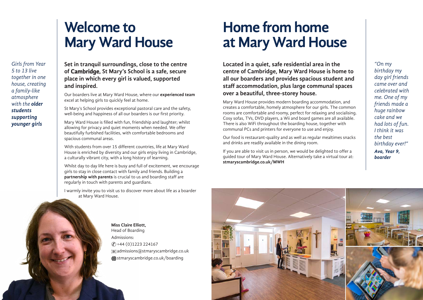# **Welcome to Mary Ward House**

*Girls from Year 5 to 13 live together in one house, creating a family-like atmosphere with the older students supporting younger girls*

**Set in tranquil surroundings, close to the centre of Cambridge, St Mary's School is a safe, secure place in which every girl is valued, supported and inspired.** 

Our boarders live at Mary Ward House, where our **experienced team** excel at helping girls to quickly feel at home.

St Mary's School provides exceptional pastoral care and the safety, well-being and happiness of all our boarders is our first priority.

Mary Ward House is filled with fun, friendship and laughter; whilst allowing for privacy and quiet moments when needed. We offer beautifully furbished facilities, with comfortable bedrooms and spacious communal areas.

With students from over 15 different countries, life at Mary Ward House is enriched by diversity and our girls enjoy living in Cambridge, a culturally vibrant city, with a long history of learning.

Whilst day to day life here is busy and full of excitement, we encourage girls to stay in close contact with family and friends. Building a **partnership with parents** is crucial to us and boarding staff are regularly in touch with parents and guardians.

I warmly invite you to visit us to discover more about life as a boarder at Mary Ward House.

# **Home from home at Mary Ward House**

**Located in a quiet, safe residential area in the centre of Cambridge, Mary Ward House is home to all our boarders and provides spacious student and staff accommodation, plus large communal spaces over a beautiful, three-storey house.** 

Mary Ward House provides modern boarding accommodation, and creates a comfortable, homely atmosphere for our girls. The common rooms are comfortable and roomy, perfect for relaxing and socialising. Cosy sofas, TVs, DVD players, a Wii and board games are all available. There is also WiFi throughout the boarding house, together with communal PCs and printers for everyone to use and enjoy.

Our food is restaurant-quality and as well as regular mealtimes snacks and drinks are readily available in the dining room.

If you are able to visit us in person, we would be delighted to offer a guided tour of Mary Ward House. Alternatively take a virtual tour at: **stmaryscambridge.co.uk/MWH**

*"On my birthday my day girl friends came over and celebrated with me. One of my friends made a huge rainbow cake and we had lots of fun. I think it was the best birthday ever!" Ava, Year 9, boarder*

**Miss Claire Elliott,**  Head of Boarding Admissions: +44 (0)1223 224167 ✆admissions@stmaryscambridge.co.uk **(iii)** stmaryscambridge.co.uk/boarding

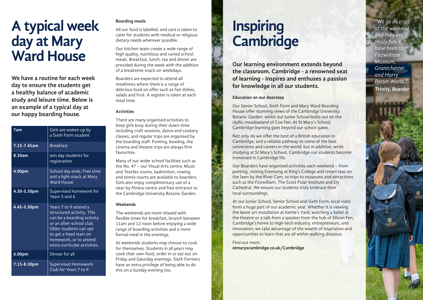## **A typical week day at Mary Ward House**

**We have a routine for each week day to ensure the students get a healthy balance of academic study and leisure time. Below is an example of a typical day at our happy boarding house.**

| 7am              | Girls are woken up by<br>a Sixth Form student                                                                                                                                                                              |
|------------------|----------------------------------------------------------------------------------------------------------------------------------------------------------------------------------------------------------------------------|
| $7.15 - 7.45$ am | <b>Breakfast</b>                                                                                                                                                                                                           |
| 8.30am           | Join day students for<br>registration                                                                                                                                                                                      |
| 4.00pm           | School day ends. Free time<br>and a light snack at Mary<br><b>Ward House</b>                                                                                                                                               |
| 4.30-5.30pm      | Supervised homework for<br>Years 5 and 6                                                                                                                                                                                   |
| 4.45-5.30pm      | Years 7 to 9 attend a<br>structured activity. This<br>can be a boarding activity<br>or an after-school club.<br>Older students can opt<br>to get a head start on<br>homework, or to attend<br>extra-curricular activities. |
| 6.00pm           | Dinner for all                                                                                                                                                                                                             |
| 7.15-8.30pm      | Supervised Homework<br>Club for Years 7 to 9                                                                                                                                                                               |

#### **Boarding meals**

All our food is labelled, and care is taken to cater for students with medical or religious dietary needs wherever possible.

Our kitchen team create a wide range of high quality, nutritious and varied school meals. Breakfast, lunch, tea and dinner are provided during the week with the addition of a breaktime snack on weekdays.

Boarders are expected to attend all mealtimes where there is a range of delicious food on offer such as hot dishes, salads and fruit. A register is taken at each meal time.

#### **Activities**

There are many organised activities to keep girls busy during their down-time including craft sessions, dance and cookery classes, and regular trips are organised by the boarding staff. Punting, bowling, the cinema and theatre trips are always firm favourites.

Many of our wider school facilities such as the No. 47 – our Visual Arts centre, Music and Textiles rooms, badminton, rowing and tennis courts are available to boarders. Girls also enjoy complimentary use of a near-by fitness centre and free entrance to the Cambridge University Botanic Garden.

#### **Weekends**

The weekends are more relaxed with flexible times for breakfast, brunch between 11am and 12 noon before enjoying a wide range of boarding activities and a more formal meal in the evenings.

At weekends students may choose to cook for themselves. Students in all years may cook their own food, order in or eat out on Friday and Saturday evenings. Sixth Formers have an extra privilege of being able to do this on a Sunday evening too.

### **Inspiring Cambridge**

**Our learning environment extends beyond the classroom. Cambridge - a renowned seat of learning - inspires and enthuses a passion for knowledge in all our students.** 

#### **Education on our doorstep**

Our Senior School, Sixth Form and Mary Ward Boarding House offer stunning views of the Cambridge University Botanic Garden, whilst our Junior School looks out on the idyllic meadowland of Coe Fen. At St Mary's School, Cambridge learning goes beyond our school gates.

Not only do we offer the best of a British education in Cambridge, and a reliable pathway to some of the best universities and careers in the world, but in addition, while studying at St Mary's School, Cambridge our students become immersed in Cambridge life.

Our Boarders have organised activities each weekend – from punting, visiting Evensong at King's College and cream teas on the lawn by the River Cam, to trips to museums and attractions such as the Fitzwilliam, The Scott Polar Institute and Ely Cathedral. We ensure our students truly embrace their local surroundings.

At our Junior School, Senior School and Sixth Form, local visits form a huge part of our academic year. Whether it is viewing the latest art installation at Kettle's Yard, watching a ballet at the theatre or a talk from a speaker from the hub of Silicon Fen, Cambridge's home to high-tech industry, entrepreneurs, and innovation; we take advantage of the wealth of inspiration and opportunities to learn that are all within walking distance.

Find out more: **stmaryscambridge.co.uk/Cambridge**

*"We go on trips at the weekend and they are really fun. I have been to: Fitzwilliam Museum, Grantchester and Harry Potter World." Trinity, Boarder*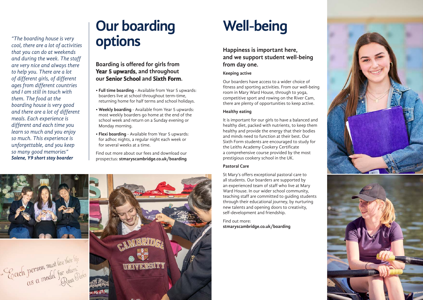*"The boarding house is very cool, there are a lot of activities that you can do at weekends and during the week. The staff are very nice and always there to help you. There are a lot of different girls, of different ages from different countries and I am still in touch with them. The food at the boarding house is very good and there are a lot of different meals. Each experience is different and each time you learn so much and you enjoy so much. This experience is unforgettable, and you keep so many good memories" Solene, Y9 short stay boarder*

## **Our boarding options**

### **Boarding is offered for girls from Year 5 upwards, and throughout our Senior School and Sixth Form.**

- **Full time boarding** Available from Year 5 upwards: boarders live at school throughout term-time, returning home for half terms and school holidays.
- **Weekly boarding** Available from Year 5 upwards: most weekly boarders go home at the end of the school week and return on a Sunday evening or Monday morning.
- **Flexi boarding** Available from Year 5 upwards: for adhoc nights, a regular night each week or for several weeks at a time.

Find out more about our fees and download our prospectus: **stmaryscambridge.co.uk/boarding**



# **Well-being**

### **Happiness is important here, and we support student well-being from day one.**

### **Keeping active**

Our boarders have access to a wider choice of fitness and sporting activities. From our well-being room in Mary Ward House, through to yoga, competitive sport and rowing on the River Cam, there are plenty of opportunities to keep active.

### **Healthy eating**

It is important for our girls to have a balanced and healthy diet, packed with nutrients, to keep them healthy and provide the energy that their bodies and minds need to function at their best. Our Sixth Form students are encouraged to study for the Leiths Academy Cookery Certificate a comprehensive course provided by the most prestigious cookery school in the UK.

### **Pastoral Care**

St Mary's offers exceptional pastoral care to all students. Our boarders are supported by an experienced team of staff who live at Mary Ward House. In our wider school community, teaching staff are committed to guiding students through their educational journey, by nurturing new talents and opening doors to creativity, self-development and friendship.

Find out more: **stmaryscambridge.co.uk/boarding**